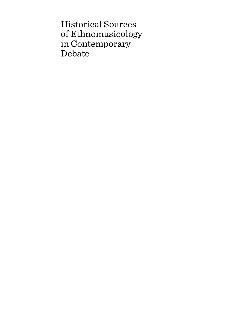Historical Sources of Ethnomusicology in Contemporary Debate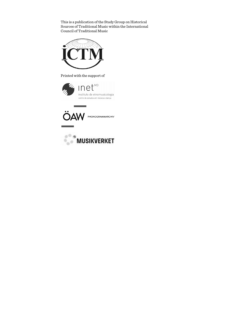This is a publication of the Study Group on Historical Sources of Traditional Music within the International Council of Traditional Music



Printed with the support of





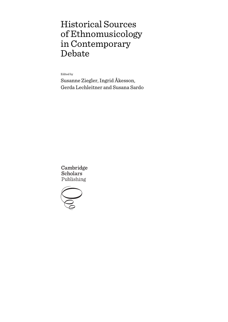# Historical Sources of Ethnomusicology in Contemporary Debate

Edited by

Susanne Ziegler, Ingrid Åkesson, Gerda Lechleitner and Susana Sardo

Cambridge **Scholars** Publishing

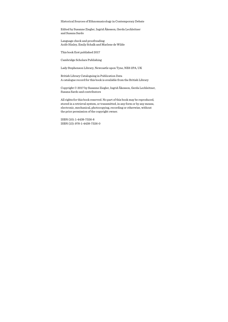Historical Sources of Ethnomusicology in Contemporary Debate

Edited by Susanne Ziegler, Ingrid Åkesson, Gerda Lechleitner and Susana Sardo

Language check and proofreading: Aoife Hinley, Emily Schalk and Marlene de Wilde

This book first published 2017

Cambridge Scholars Publishing

Lady Stephenson Library, Newcastle upon Tyne, NE6 2PA, UK

British Library Cataloguing in Publication Data A catalogue record for this book is available from the British Library

Copyright © 2017 by Susanne Ziegler, Ingrid Åkesson, Gerda Lechleitner, Susana Sardo and contributors

All rights for this book reserved. No part of this book may be reproduced, stored in a retrieval system, or transmitted, in any form or by any means, electronic, mechanical, photocopying, recording or otherwise, without the prior permission of the copyright owner.

ISBN (10): 1-4438-7326-8 ISBN (13): 978-1-4438-7326-0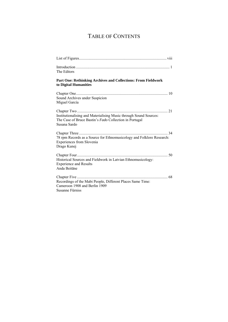# TABLE OF CONTENTS

| The Editors                                                                                                                                 |
|---------------------------------------------------------------------------------------------------------------------------------------------|
| <b>Part One: Rethinking Archives and Collections: From Fieldwork</b><br>to Digital Humanities                                               |
| Sound Archives under Suspicion<br>Miguel García                                                                                             |
| Institutionalising and Materialising Music through Sound Sources:<br>The Case of Bruce Bastin's Fado Collection in Portugal<br>Susana Sardo |
| 78 rpm Records as a Source for Ethnomusicology and Folklore Research:<br>Experiences from Slovenia<br>Drago Kunej                           |
| Historical Sources and Fieldwork in Latvian Ethnomusicology:<br><b>Experience and Results</b><br>Anda Beitāne                               |
| Recordings of the Mabi People, Different Places Same Time:<br>Cameroon 1908 and Berlin 1909<br>Susanne Fürniss                              |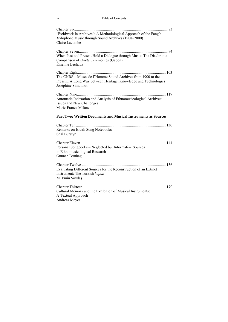| "Fieldwork in Archives": A Methodological Approach of the Fang's<br>Xylophone Music through Sound Archives (1908–2000)<br>Claire Lacombe              |
|-------------------------------------------------------------------------------------------------------------------------------------------------------|
| When Past and Present Hold a Dialogue through Music: The Diachronic<br>Comparison of <i>Bwétè</i> Ceremonies (Gabon)<br>Émeline Lechaux               |
| The CNRS – Musée de l'Homme Sound Archives from 1900 to the<br>Present: A Long Way between Heritage, Knowledge and Technologies<br>Joséphine Simonnot |
| Automatic Indexation and Analysis of Ethnomusicological Archives:<br>Issues and New Challenges<br>Marie-France Mifune                                 |
| Part Two: Written Documents and Musical Instruments as Sources                                                                                        |
| Remarks on Israeli Song Notebooks<br>Shai Burstyn                                                                                                     |
| Personal Songbooks - Neglected but Informative Sources<br>in Ethnomusicological Research<br>Gunnar Ternhag                                            |
| 156<br>Evaluating Different Sources for the Reconstruction of an Extinct<br>Instrument: The Turkish kopuz<br>M. Emin Soydaş                           |
| Cultural Memory and the Exhibition of Musical Instruments:<br>A Textual Approach<br><b>Andreas Mever</b>                                              |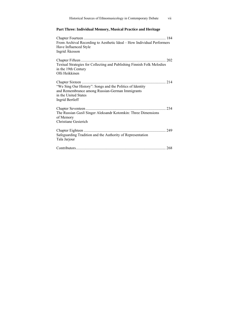| Historical Sources of Ethnomusicology in Contemporary Debate<br>vii                                                                                     |
|---------------------------------------------------------------------------------------------------------------------------------------------------------|
| Part Three: Individual Memory, Musical Practice and Heritage                                                                                            |
| From Archival Recording to Aesthetic Ideal - How Individual Performers<br>Have Influenced Style<br>Ingrid Åkesson                                       |
| Textual Strategies for Collecting and Publishing Finnish Folk Melodies<br>in the 19th Century<br>Olli Heikkinen                                         |
| "We Sing Our History": Songs and the Politics of Identity<br>and Remembrance among Russian-German Immigrants<br>in the United States<br>Ingrid Bertleff |
| 234<br>The Russian Gusli Singer Aleksandr Kotomkin: Three Dimensions<br>of Memory<br>Christiane Gesierich                                               |
| Safeguarding Tradition and the Authority of Representation<br>Tala Jarjour                                                                              |
|                                                                                                                                                         |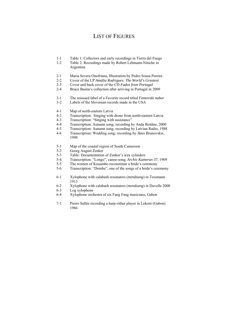## LIST OF FIGURES

- 1-1 Table 1: Collectors and early recordings in Tierra del Fuego
- 1-2 Table 2: Recordings made by Robert Lehmann-Nitsche in Argentina
- 2-1 Maria Severa Onofriana, Illustration by Pedro Sousa Pereira
- 2-2 Cover of the LP *Amália Rodrigues: The World's Greatest*
- 2-3 Cover and back cover of the CD *Fados from Portugal*
- 2-4 Bruce Bastin's collection after arriving in Portugal in 2009
- 3-1 The reissued label of a Favorite record titled *Fantovski nabor*
- 3-2 Labels of the Slovenian records made in the USA
- 4-1 Map of north-eastern Latvia
- 4-2 Transcription: Singing with drone from north-eastern Latvia
- 4-3 Transcription: "Singing with assistance"
- 4-4 Transcription: Autumn song; recording by Anda Beitāne, 2000
- 4-5 Transcription: Autumn song; recording by Latvian Radio, 1988
- 4-6 Transcription: Wedding song; recording by Jānis Brunovskis, 1998
- 5-1 Map of the coastal region of South Cameroon
- 5-2 Georg August Zenker
- 5-3Table: Documentation of Zenker's wax cylinders
- 5-4 Transcription: "Longo", canoe-song, *Archiv Kamerun 37*, 1909
- The women of Kouambo reconstitute a bride's ceremony
- 5-6 Transcription: "Dombe", one of the songs of a bride's ceremony
- 6-1 Xylophone with calabash resonators (*mendzang*) in Tessmann 1913
- 6-2 Xylophone with calabash resonators (*mendzang*) in Duvelle 2000
- 6-3 Log xylophone
- 6-4 Xylophone orchestra of six Fang Fang musicians, Gabon
- 7-1 Pierre Sallée recording a harp-zither player in Lekoni (Gabon) 1966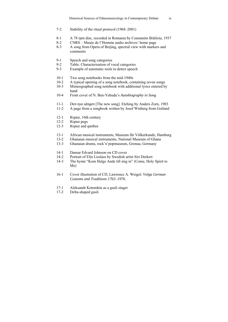- 7-2 Stability of the ritual protocol (1968–2001)
- 8-1 A 78 rpm disc, recorded in Romania by Constantin Brăiloiu, 1937<br>8-2 CNRS Musée de l'Homme audio archives' home page
- 8-2 CNRS Musée de l'Homme audio archives' home page
- 8-3 A song from Opera of Beijing, spectral view with markers and comments
- 9-1 Speech and song categories
- 9-2 Table: Characterisation of vocal categories<br>9-3 Example of automatic tools to detect speed
- Example of automatic tools to detect speech
- 10-1 Two song notebooks from the mid-1940s<br>10-2 A typical opening of a song notebook, con
- 10-2 A typical opening of a song notebook, containing seven songs<br>10-3 Mimeographed song notebook with additional lyrics entered b
- Mimeographed song notebook with additional lyrics entered by hand<br>10-4 Front
- 10-4 Front cover of N. Ben-Yehuda's *Autobiography in Song*
- 11-1 *Den nya sången* [The new song]. Etching by Anders Zorn, 1903
- 11-2 A page from a songbook written by Josef Winberg from Gotland
- 12-1 *Kopuz*, 16th century
- 12-2 *Kopuz* pegs
- 12-3 *Kopuz* and *qanbus*
- 13-1 African musical instruments, Museum für Völkerkunde, Hamburg<br>13-2 Ghanaian musical instruments, National Museum of Ghana
- 13-2 Ghanaian musical instruments, National Museum of Ghana
- 13-3 Ghanaian drums, rock'n'popmuseum, Gronau, Germany
- 14-1 Dansar Edvard Johnson on CD cover
- 14-2 Portrait of Elin Lisslass by Swedish artist Siri Derkert
- 14-3 The hymn "Kom Helge Ande till mig in" (Come, Holy Spirit to Me)
- 16-1 Cover illustration of CD, Lawrence A. Weigel: *Volga German Customs and Traditions 1763*–*1976*.
- 17-1 Aleksandr Kotomkin as a gusli singer
- 17-2 Delta-shaped gusli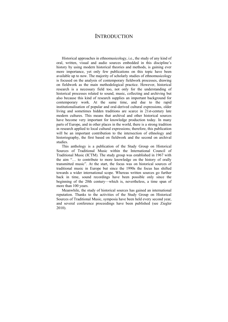### **INTRODUCTION**

Historical approaches in ethnomusicology, i.e., the study of any kind of oral, written, visual and audio sources embedded in this discipline's history by using modern historical theories and methods, is gaining ever more importance, yet only few publications on this topic have been available up to now. The majority of scholarly studies of ethnomusicology is focused on the analysis of contemporary fieldwork processes, drawing on fieldwork as the main methodological practice. However, historical research is a necessary field too, not only for the understanding of historical processes related to sound, music, collecting and archiving but also because this kind of research supplies an important background for contemporary work. At the same time, and due to the rapid institutionalisation of popular and oral-derived cultural expressions, older living and sometimes hidden traditions are scarce in 21st-century late modern cultures. This means that archival and other historical sources have become very important for knowledge production today. In many parts of Europe, and in other places in the world, there is a strong tradition in research applied to local cultural expressions; therefore, this publication will be an important contribution to the intersection of ethnology and historiography, the first based on fieldwork and the second on archival studies.

This anthology is a publication of the Study Group on Historical Sources of Traditional Music within the International Council of Traditional Music (ICTM). The study group was established in 1967 with the aim "… to contribute to more knowledge on the history of orally transmitted music". At the start, the focus was on historical sources of traditional music in Europe but since the 1990s the focus has shifted towards a wider international scope. Whereas written sources go further back in time, sound recordings have been possible only since the beginning of the 20th century—which is, nevertheless, a time span of more than 100 years.

Meanwhile, the study of historical sources has gained an international reputation. Thanks to the activities of the Study Group on Historical Sources of Traditional Music, symposia have been held every second year, and several conference proceedings have been published (see Ziegler 2010).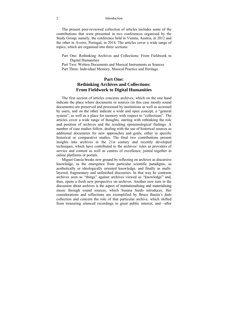#### 2 Introduction

The present peer-reviewed collection of articles includes some of the contributions that were presented in two conferences organised by the Study Group; namely, the conference held in Vienna, Austria, in 2012 and the other in Aveiro, Portugal, in 2014. The articles cover a wide range of topics, which are organised into three sections:

Part One: Rethinking Archives and Collections: From Fieldwork to Digital Humanities

Part Two: Written Documents and Musical Instruments as Sources Part Three: Individual Memory, Musical Practice and Heritage

### **Part One: Rethinking Archives and Collections: From Fieldwork to Digital Humanities**

The first section of articles concerns archives, which on the one hand indicate the place where documents or sources (in this case mostly sound documents) are preserved and processed by institutions as well as accessed by users, and on the other indicate a wide and open concept, a "general system", as well as a place for memory with respect to "collections". The articles cover a wide range of thoughts, starting with rethinking the role and position of archives and the resulting epistemological findings. A number of case studies follow, dealing with the use of historical sources as additional documents for new approaches and goals, either in specific historical or comparative studies. The final two contributions present insights into archives in the 21st century and recently developed techniques, which have contributed to the archives' roles as providers of service and content as well as centres of excellence, joined together in online platforms or portals.

Miguel García breaks new ground by reflecting on archives as discursive knowledge, as the emergence from particular scientific paradigms, as aesthetically or ideologically oriented knowledge, and finally as multilayered, fragmentary and unfinished discourses. In that way he contrasts archives seen as "things" against archives viewed as "knowledge" and, thus, opens a fresh new perspective on archives. Another new turn in the discussion about archives is the aspect of institutionalising and materialising music through sound sources, which Susana Sardo introduces. Her considerations and reflections are exemplified by Bruce Bastin's *fado*  collection and concern the role of that particular archive, which shifted from treasuring silenced recordings to great public interest, and—after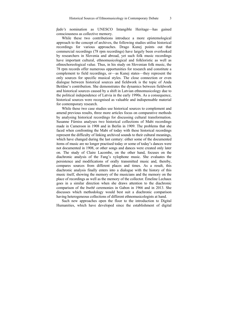*fado's* nomination as UNESCO Intangible Heritage—has gained consciousness as collective memory.

While these two contributions introduce a more epistemological approach to the concept of archives, the following studies utilise historical recordings for various approaches. Drago Kunej points out that commercial recordings (78 rpm recordings) have largely been overlooked by researchers in Slovenia and abroad, yet such folk music recordings have important cultural, ethnomusicological and folkloristic as well as ethnochoreological value. Thus, in his study on Slovenian folk music, the 78 rpm records offer numerous opportunities for research and constitute a complement to field recordings, or—as Kunej states—they represent the only sources for specific musical styles. The close connection or even dialogue between historical sources and fieldwork is the topic of Anda Beitāne's contribution. She demonstrates the dynamics between fieldwork and historical sources caused by a shift in Latvian ethnomusicology due to the political independence of Latvia in the early 1990s. As a consequence, historical sources were recognised as valuable and indispensable material for contemporary research.

While these two case studies use historical sources to complement and amend previous results, three more articles focus on comparative methods by analysing historical recordings for discussing cultural transformation. Susanne Fürniss analyses two historical collections of Mabi recordings made in Cameroon in 1908 and in Berlin in 1909. The problems that she faced when confronting the Mabi of today with these historical recordings represent the difficulty of linking archived sounds to their cultural meanings, which have changed during the last century: either some of the documented items of music are no longer practised today or some of today's dances were not documented in 1908, or other songs and dances were created only later on. The study of Claire Lacombe, on the other hand, focuses on the diachronic analysis of the Fang's xylophone music. She evaluates the persistence and modifications of orally transmitted music and, thereby, compares sources from different places and times. As a result, this diachronic analysis finally enters into a dialogue with the history of this music itself, showing the memory of the musicians and the memory on the place of recordings as well as the memory of the collector. Émeline Lechaux goes in a similar direction when she draws attention to the diachronic comparison of the *bwétè* ceremonies in Gabon in 1966 and in 2013. She discusses which methodology would best suit a diachronic comparison having heterogeneous collections of different ethnomusicologists at hand.

Such new approaches open the floor to the introduction to Digital Humanities, which have developed since the establishment of digital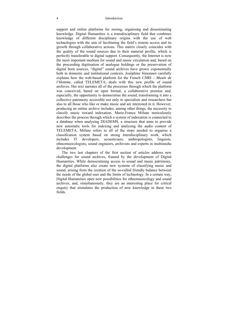#### 4 Introduction

support and online platforms for storing, organising and disseminating knowledge. Digital Humanities is a transdisciplinary field that combines knowledge of different disciplinary origins with the use of web technologies with the aim of facilitating the field's remote access and its growth through collaborative actions. This matrix closely coincides with the quality of the sound sources due to their material profile, which is perfectly transferable to digital support. Consequently, the Internet is now the most important medium for sound and music circulation and, based on the proceeding digitisation of analogue holdings or the preservation of digital born sources, "digital" sound archives have grown exponentially both in domestic and institutional contexts. Joséphine Simonnot carefully explains how the web-based platform for the French *CNRS – Musée de l'Homme*, called TELEMETA, deals with this new profile of sound archives. Her text narrates all of the processes through which the platform was conceived, based on open format, a collaborative premise and, especially, the opportunity to democratise the sound, transforming it into a collective patrimony accessible not only to specialists and researchers but also to all those who like or make music and are interested in it. However, producing an online archive includes, among other things, the necessity to classify music toward indexation. Marie-France Mifune meticulously describes the process through which a system of indexation is connected to a database when analysing DIADEMS, a structure that aims to provide new automatic tools for indexing and analysing the audio content of TELEMETA. Mifune refers to all of the steps needed to organise a classification system based on strong interdisciplinary work, which includes IT developers, acousticians, anthropologists, linguists, ethnomusicologists, sound engineers, archivists and experts in multimedia development.

The two last chapters of the first section of articles address new challenges for sound archives, framed by the development of Digital Humanities. While democratising access to sound and music patrimony, the digital platforms also create new systems of classifying music and sound, arising from the creation of the so-called friendly balance between the needs of the global user and the limits of technology. In a certain way, Digital Humanities open new possibilities for ethnomusicology and sound archives, and, simultaneously, they are an interesting place for critical enquiry that stimulates the production of new knowledge in these two fields.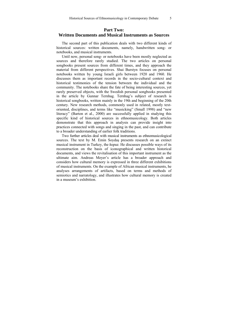### **Part Two: Written Documents and Musical Instruments as Sources**

The second part of this publication deals with two different kinds of historical sources: written documents, namely, handwritten song- or notebooks, and musical instruments.

Until now, personal song- or notebooks have been mostly neglected as sources and therefore rarely studied. The two articles on personal songbooks present sources from different times, and they approach the material from different perspectives. Shai Burstyn focuses on personal notebooks written by young Israeli girls between 1920 and 1960. He discusses them as important records in the socio-cultural context and historical testimonies of the tension between the individual and the community. The notebooks share the fate of being interesting sources, yet rarely preserved objects, with the Swedish personal songbooks presented in the article by Gunnar Ternhag. Ternhag's subject of research is historical songbooks, written mainly in the 19th and beginning of the 20th century. New research methods, commonly used in related, mostly textoriented, disciplines, and terms like "musicking" (Small 1998) and "new literacy" (Barton et al., 2000) are successfully applied in studying this specific kind of historical sources in ethnomusicology. Both articles demonstrate that this approach in analysis can provide insight into practices connected with songs and singing in the past, and can contribute to a broader understanding of earlier folk traditions.

Two further articles deal with musical instruments as ethnomusicological sources. The text by M. Emin Soydaş presents research on an extinct musical instrument in Turkey, the *kopuz*. He discusses possible ways of its reconstruction on the basis of iconographical and written historical documents, and views the revitalisation of this important instrument as the ultimate aim. Andreas Meyer's article has a broader approach and considers how cultural memory is expressed in three different exhibitions of musical instruments. On the example of African musical instruments, he analyses arrangements of artifacts, based on terms and methods of semiotics and narratology, and illustrates how cultural memory is created in a museum's exhibition.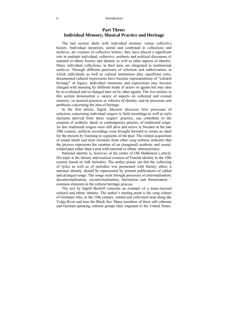### **Part Three: Individual Memory, Musical Practice and Heritage**

The last section deals with individual memory versus collective history. Individual memories, stored and combined in collections and archives, are creators of collective history; they have played a significant role in multiple individual, collective, aesthetic and political discourses of national or ethnic history and identity as well as other aspects of identity. Many individual collections, in their turn, are integrated in institutional archives. Through different processes of selection and authorisation, in which individuals as well as cultural institutions play significant roles, documented cultural expressions have become representations of "cultural heritage" or legacy. Individual memories and expressions may become charged with meaning by different kinds of actors or agents but may also be re-evaluated and re-charged later on by other agents. The five articles in this section demonstrate a variety of aspects on collected and created memory, on musical practices as vehicles of identity, and on processes and problems concerning the idea of heritage.

In the first article, Ingrid Åkesson discusses how processes of selection, concerning individual singers in field recordings as well as style elements derived from these singers' practice, can contribute to the creation of aesthetic ideals in contemporary practice of traditional songs. As few traditional singers were still alive and active in Sweden in the late 20th century, archival recordings were brought forward to create an ideal for the present by listening to segments of the past. The related acquisition of sound ideals and style elements from other song cultures indicates that the process represents the creation of an (imagined) aesthetic and soundrelated past rather than a past with national or ethnic characteristics.

National identity is, however, at the centre of Olli Heikkinen's article. His topic is the literary and musical creation of Finnish identity in the 19th century based on folk melodies. The author points out that the collecting of lyrics as well as of melodies was permeated with literary ethos; a national identity should be represented by printed publications of edited and arranged songs. The songs went through processes of entextualisation, decontextualisation, recontextualisation, literisation and literarisation – common elements in the cultural heritage process.

The text by Ingrid Bertleff concerns an example of a many-layered cultural and ethnic identity. The author's starting point is the song culture of Germans who, in the 18th century, settled and cultivated land along the Volga River and near the Black Sea. Many members of these still coherent and German-speaking cultural groups later migrated to the United States.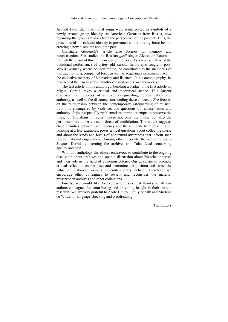Around 1970, their traditional songs were reinterpreted as symbols of a newly created group identity, as American Germans from Russia, now regarding the group's history from the perspective of the present. Thus, the present need for cultural identity is presented as the driving force behind creating a new discourse about the past.

Christiane Gesierich's article also focuses on memory and reconstruction. She studies the Russian *gusli* singer Aleksandr Kotomkin through the prism of three dimensions of memory. As a representative of the traditional performance of *byliny*, old Russian heroic epic songs, in post-WWII Germany where he took refuge, he contributed to the memories of this tradition in accompanied form, as well as acquiring a prominent place in the collective memory of his readers and listeners. In his autobiography, he resurrected the Russia of his childhood based on his own memories.

The last article in this anthology, building a bridge to the first article by Miguel Garcia, takes a critical and theoretical stance. Tala Jarjour discusses the concepts of archive, safeguarding, representation and authority, as well as the discourse surrounding these concepts. She focuses on the relationship between the contemporary safeguarding of musical traditions endangered by violence, and questions of representation and authority. Jarjour especially problematises current attempts to preserve the music of Christians in Syria, where not only the music but also the performers are under constant threat of annihilation. The article suggests close affinities between pain, agency and the authority to represent, and, pointing at a few examples, poses critical questions about collecting music and about the kinds and levels of contextual awareness that inform such representational engagement. Among other theorists, the author refers to Jacques Derrida concerning the archive, and Talal Asad concerning agency and pain.

With this anthology the editors endeavour to contribute to the ongoing discussion about archives and open a discussion about historical sources and their role in the field of ethnomusicology. Our goals are to promote critical reflection on the past, and determine the position and stress the value of historical sources in contemporary debate. Therefore, we encourage other colleagues to review and reconsider the material preserved in archives and other collections.

Finally, we would like to express our sincerest thanks to all our authors-colleagues for contributing and providing insight in their current research. We are very grateful to Aoife Hinley, Emily Schalk and Marlene de Wilde for language checking and proofreading.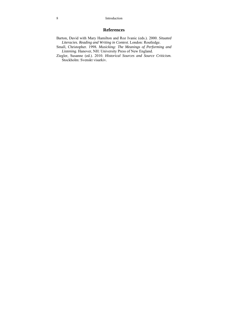#### 8 Introduction

### **References**

- Barton, David with Mary Hamilton and Roz Ivanic (eds.). 2000. *Situated Literacies. Reading and Writing in Context*. London: Routledge.
- Small, Christopher. 1998*. Musicking: The Meanings of Performing and Listening*. Hanover, NH: University Press of New England.
- Ziegler, Susanne (ed.). 2010. *Historical Sources and Source Criticism.*  Stockholm: Svenskt visarkiv*.*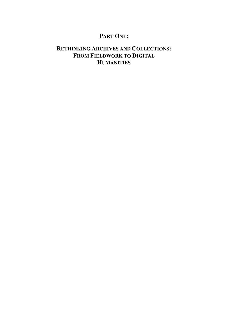## **PART ONE:**

# **RETHINKING ARCHIVES AND COLLECTIONS: FROM FIELDWORK TO DIGITAL HUMANITIES**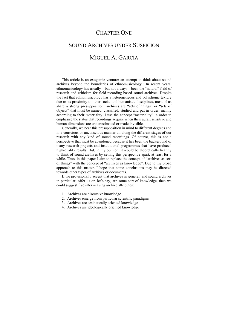### CHAPTER ONE

# SOUND ARCHIVES UNDER SUSPICION MIGUEL A. GARCÍA

This article is an exogamic venture: an attempt to think about sound archives beyond the boundaries of ethnomusicology.<sup>1</sup> In recent years, ethnomusicology has usually—but not always—been the "natural" field of research and criticism for field-recording-based sound archives. Despite the fact that ethnomusicology has a heterogeneous and polyphonic texture due to its proximity to other social and humanistic disciplines, most of us share a strong presupposition: archives are "sets of things" or "sets of objects" that must be named, classified, studied and put in order, mainly according to their materiality. I use the concept "materiality" in order to emphasise the status that recordings acquire when their aural, sensitive and human dimensions are underestimated or made invisible.

Generally, we bear this presupposition in mind to different degrees and in a conscious or unconscious manner all along the different stages of our research with any kind of sound recordings. Of course, this is not a perspective that must be abandoned because it has been the background of many research projects and institutional programmes that have produced high-quality results. But, in my opinion, it would be theoretically healthy to think of sound archives by setting this perspective apart, at least for a while. Thus, in this paper I aim to replace the concept of "archives as sets" of things" with the concept of "archives as knowledge". Due to my broad approach to this matter, I hope that some conclusions may be directed towards other types of archives or documents.

If we provisionally accept that archives in general, and sound archives in particular, offer us or, let's say, are some sort of knowledge, then we could suggest five interweaving archive attributes:

- 1. Archives are discursive knowledge
- 2. Archives emerge from particular scientific paradigms
- 3. Archives are aesthetically oriented knowledge
- 4. Archives are ideologically oriented knowledge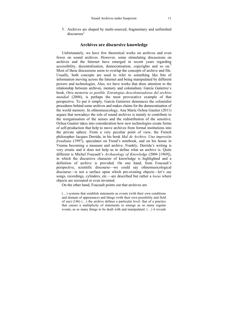5. Archives are shaped by multi-sourced, fragmentary and unfinished  $discourses<sup>2</sup>$ 

### **Archives are discursive knowledge**

Unfortunately, we have few theoretical works on archives and even fewer on sound archives. However, some stimulating discussions on archives and the Internet have emerged in recent years regarding accessibility, decentralisation, democratisation, copyrights and so on.<sup>3</sup> Most of these discussions seem to overlap the concepts of archive and file. Usually, both concepts are used to refer to something like bits of information moving across the Internet and being manipulated by different powers and technologies. Also, we have works that draw attention to the relationship between archives, memory and colonialism. García Gutierrez´s book, *Otra memoria es posible. Estrategias descolonizadoras del archivo mundial* (2004), is perhaps the most provocative example of that perspective. To put it simply, García Gutierrez denounces the colonialist procedures behind some archives and makes claims for the democratisation of the world memory. In ethnomusicology, Ana María Ochoa Gautier (2011) argues that nowadays the role of sound archives is mainly to contribute to the reorganisation of the senses and the redistribution of the sensitive. Ochoa Gautier takes into consideration how new technologies create forms of self-production that help to move archives from formal institutions into the private sphere. From a very peculiar point of view, the French philosopher Jacques Derrida, in his book *Mal de Archivo. Una impresión freudiana* (1997), speculates on Freud's notebook, and on his house in Vienna becoming a museum and archive. Frankly, Derrida's writing is very erratic and it does not help us to define what an archive is. Quite different is Michel Foucault's *Archaeology of Knowledge* (2004 [1969]), in which the discursive character of knowledge is highlighted and a definition of archive is provided. On one hand, from Foucault's perspective, scientific discourse—we could say ethnomusicological discourse—is not a surface upon which pre-existing objects—let's say songs, recordings, cylinders, etc.—are described but rather a *locus* where objects are recreated or even invented.

On the other hand, Foucault points out that archives are

(…) systems that establish statements as events (with their own conditions and domain of appearance) and things (with their own possibility and field of use) (146) (…) the archive defines a particular level: that of a practice that causes a multiplicity of statements to emerge as so many regular events, as so many things to be dealt with and manipulated. (…) it reveals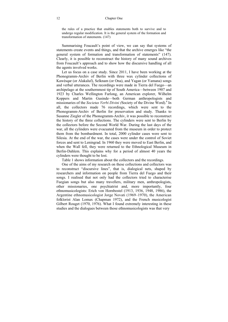the rules of a practice that enables statements both to survive and to undergo regular modification. It is the general system of the formation and transformation of statements. (147)

Summarising Foucault's point of view, we can say that systems of statements create events and things, and that the archive emerges like "the general system of formation and transformation of statements" (147). Clearly, it is possible to reconstruct the history of many sound archives from Foucault's approach and to show how the discursive handling of all the agents involved works.

Let us focus on a case study. Since 2011, I have been working at the Phonogramm-Archiv of Berlin with three wax cylinder collections of Kawésqar (or Alakaluf), Selknam (or Ona), and Yagan (or Yamana) songs and verbal utterances. The recordings were made in Tierra del Fuego—an archipelago at the southernmost tip of South America—between 1907 and 1923 by Charles Wellington Furlong, an American explorer, Wilhelm Koppers and Martin Gusinde—both German anthropologists and missionaries of the *Societas Verbi Divini (*Society of the Divine Word).4 In all, the collectors made 76 recordings, which were sent to the Phonogramm-Archiv of Berlin for preservation and study. Thanks to Susanne Ziegler of the Phonogramm-Archiv, it was possible to reconstruct the history of the three collections. The cylinders were sent to Berlin by the collectors before the Second World War. During the last days of the war, all the cylinders were evacuated from the museum in order to protect them from the bombardment. In total, 2000 cylinder cases were sent to Silesia. At the end of the war, the cases were under the control of Soviet forces and sent to Leningrad. In 1960 they were moved to East Berlin, and when the Wall fell, they were returned to the Ethnological Museum in Berlin-Dahlem. This explains why for a period of almost 40 years the cylinders were thought to be lost.

Table 1 shows information about the collectors and the recordings.

One of the aims of my research on these collections and collectors was to reconstruct "discursive lines", that is, dialogical nets, shaped by researchers and information on people from Tierra del Fuego and their songs. I realised that not only had the collectors tried to characterise Fuegian songs but also many travellers, military men, anthropologists, other missionaries, one psychiatrist and, more importantly, four ethnomusicologists: Erich von Hornbostel (1913, 1936, 1948, 1986), the Argentine ethnomusicologist Jorge Novati (1969–1970), the American folklorist Alan Lomax (Chapman 1972), and the French musicologist Gilbert Rouget (1970, 1976). What I found extremely interesting in these studies and the dialogues between those ethnomusicologists was that very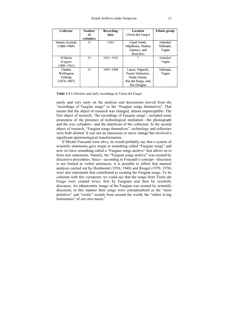| Collector                                           | <b>Number</b><br>of<br>cylinders | Recording<br>date | Location<br>(Tierra del Fuego)                                                             | <b>Ethnic group</b>            |
|-----------------------------------------------------|----------------------------------|-------------------|--------------------------------------------------------------------------------------------|--------------------------------|
| Martin Gusinde<br>$(1886 - 1969)$                   | 13                               | 1923              | Canal Smith,<br>Mejillones, Muñoz<br>Gamero, and<br>Remolino                               | Alakaluf.<br>Selknam.<br>Yagan |
| Wilhelm<br>Koppers<br>$(1886 - 1961)$               | 30                               | 1921-1922         | ?                                                                                          | Alakaluf.<br>Yagan             |
| Charles<br>Wellington<br>Furlong<br>$(1874 - 1967)$ | 33                               | 1907-1908         | Lauwi, Najmish,<br>Puerto Harberton,<br>Punta Arenas.<br>Río del Fuego, and<br>Río Douglas | Selknam,<br>Yagan              |

**Table 1-1** Collectors and early recordings in Tierra del Fuego

easily and very early on the analysis and discussions moved from the "recordings of Fuegian songs" to the "Fuegian songs themselves". That means that the object of research was changed, almost imperceptibly. The first object of research, "the recordings of Fuegian songs", included some awareness of the presence of technological mediation—the phonograph and the wax cylinders—and the intentions of the collectors. In the second object of research, "Fuegian songs themselves", technology and collectors were both deleted. It was not an innocuous or naive change but involved a significant epistemological transformation.

If Michel Foucault were alive, he would probably say that a system of scientific statements gave origin to something called "Fuegian songs" and now we have something called a "Fuegian songs archive" that allows us to form new statements. Namely, the "Fuegian songs archive" was created by discursive procedures. Since—according to Foucault's concept—discourse is not limited to verbal utterances, it is possible to affirm that musical analyses carried out by Hornbostel (1936, 1948) and Rouget (1970, 1976) were also statements that contributed to creating the Fuegian songs. To be coherent with this viewpoint, we could say that the songs from Tierra del Fuego were created twice, first by Fuegians and then by scientific discourse. An ethnocentric image of the Fuegian was created by scientific discourse; in this manner their songs were conceptualised as the "most primitive" and "exotic" sounds from around the world, the "oldest living testimonies" of our own music. $5$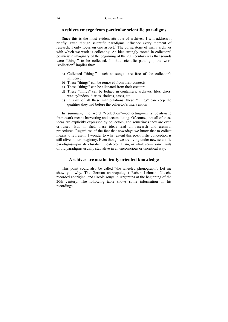### **Archives emerge from particular scientific paradigms**

Since this is the most evident attribute of archives, I will address it briefly. Even though scientific paradigms influence every moment of research, I only focus on one aspect.<sup>6</sup> The cornerstone of many archives with which we work is collecting. An idea strongly rooted in collectors' positivistic imaginary of the beginning of the 20th century was that sounds were "things" to be collected. In that scientific paradigm, the word "collection" implies that:

- a) Collected "things"—such as songs—are free of the collector's influence
- b) These "things" can be removed from their contexts
- c) These "things" can be alienated from their creators
- d) These "things" can be lodged in containers: archives, files, discs, wax cylinders, diaries, shelves, cases, etc.
- e) In spite of all these manipulations, these "things" can keep the qualities they had before the collector's intervention

In summary, the word "collection"—collecting—in a positivistic framework means harvesting and accumulating. Of course, not all of these ideas are explicitly expressed by collectors, and sometimes they are even criticised. But, in fact, these ideas lead all research and archival procedures. Regardless of the fact that nowadays we know that to collect means to represent, I wonder to what extent this positivistic conception is still alive in our imaginary. Even though we are living under new scientific paradigms—poststructuralism, postcolonialism, or whatever— some traits of old paradigms usually stay alive in an unconscious or uncritical way.

### **Archives are aesthetically oriented knowledge**

This point could also be called "the wheeled phonograph". Let me show you why. The German anthropologist Robert Lehmann-Nitsche recorded aboriginal and Creole songs in Argentina at the beginning of the 20th century. The following table shows some information on his recordings.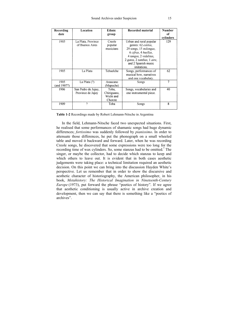| Recording<br>date   | Location                                 | Ethnic<br>group                              | Recorded material                                                                                                                                                                                      | <b>Number</b><br>οf<br>cylinders |
|---------------------|------------------------------------------|----------------------------------------------|--------------------------------------------------------------------------------------------------------------------------------------------------------------------------------------------------------|----------------------------------|
| 1905                | La Plata, Province<br>of Buenos Aires    | Creole<br>popular<br>musicians               | Urban and rural popular<br>genres: 62 <i>estilos</i> ,<br>29 songs, 15 milongas,<br>6 cifras, 4 huellas,<br>4 tangos, 2 vidalitas,<br>2 gatos, 2 zambas, 1 aire,<br>and 2 Spanish music<br>imitations. | 129                              |
| 1905                | La Plata                                 | Tehuelche                                    | Songs, performances of<br>musical bow, narratives<br>and one vocabulary.                                                                                                                               | 62                               |
| 1905<br>(and 1907?) | La Plata $(?)$                           | Araucano<br>(Mapuche)                        | Songs                                                                                                                                                                                                  | $\overline{7}$                   |
| 1906                | San Pedro de Jujuy,<br>Province de Jujuy | Toba.<br>Chiriguano,<br>Wichi and<br>Chorote | Songs, vocabularies and<br>one instrumental piece.                                                                                                                                                     | 40                               |
| 1909                | 9                                        | Toba                                         | Songs                                                                                                                                                                                                  | 8                                |

**Table 1-2** Recordings made by Robert Lehmann-Nitsche in Argentina

In the field, Lehmann-Nitsche faced two unexpected situations. First, he realised that some performances of shamanic songs had huge dynamic differences; *fortissimo* was suddenly followed by *pianissimo*. In order to attenuate those differences, he put the phonograph on a small wheeled table and moved it backward and forward. Later, when he was recording Creole songs, he discovered that some expressions were too long for the recording time of wax cylinders. So, some stanzas had to be omitted.<sup>7</sup> The singer, or maybe the collector, had to decide which stanzas to keep and which others to leave out. It is evident that in both cases aesthetic judgements were taking place: a technical limitation required an aesthetic decision. On this point we can bring into the discussion Hayden White's perspective. Let us remember that in order to show the discursive and aesthetic character of historiography, the American philosopher, in his book, *Metahistory: The Historical Imagination in Nineteenth-Century Europe* (1973), put forward the phrase "poetics of history". If we agree that aesthetic conditioning is usually active in archive creation and development, then we can say that there is something like a "poetics of archives".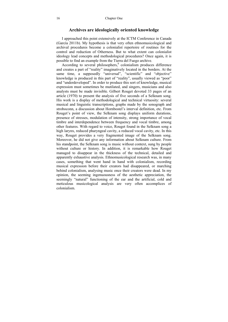### **Archives are ideologically oriented knowledge**

I approached this point extensively at the ICTM Conference in Canada (García 2011b). My hypothesis is that very often ethnomusicological and archival procedures become a colonialist repertoire of routines for the control and reduction of Otherness. But to what extent can colonialist ideology lead concepts and methodological procedures? Once again, it is possible to find an example from the Tierra del Fuego archive.

According to several philosophers,<sup>8</sup> colonialism produces difference and creates a part of "reality" imaginatively located in the borders. At the same time, a supposedly "universal", "scientific" and "objective" knowledge is produced in this part of "reality", usually viewed as "poor" and "underdeveloped". In order to produce this sort of knowledge, musical expression must sometimes be mutilated, and singers, musicians and also analysts must be made invisible. Gilbert Rouget devoted 33 pages of an article (1970) to present the analysis of five seconds of a Selknam song. His work is a display of methodological and technical virtuosity: several musical and linguistic transcriptions, graphs made by the sonograph and stroboconn, a discussion about Hornbostel's interval definition, etc. From Rouget's point of view, the Selknam song displays uniform durations, presence of stresses, modulation of intensity, strong importance of vocal timbre and interdependence between frequency and vocal timbre, among other features. With regard to voice, Rouget found in the Selknam song a high larynx, reduced pharyngeal cavity, a reduced vocal cavity, etc. In this way, Rouget provides a very fragmented image of the Selknam song. Moreover, he did not give any information about Selknam culture. From his standpoint, the Selknam song is music without context, sung by people without culture or history. In addition, it is remarkable how Rouget managed to disappear in the thickness of the technical, detailed and apparently exhaustive analysis. Ethnomusicological research was, in many cases, something that went hand in hand with colonialism, recording musical expression before their creators had disappeared, or marching behind colonialism, analysing music once their creators were dead. In my opinion, the seeming ingenuousness of the aesthetic appreciation, the seemingly "natural" functioning of the ear and the artificial, cold and meticulous musicological analysis are very often accomplices of colonialism.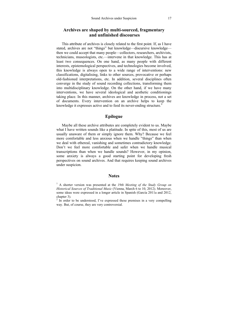### **Archives are shaped by multi-sourced, fragmentary and unfinished discourses**

This attribute of archives is closely related to the first point. If, as I have stated, archives are not "things" but knowledge—discursive knowledge then we could accept that many people—collectors, researchers, archivists, technicians, museologists, etc.—intervene in that knowledge. This has at least two consequences. On one hand, as many people with different interests, epistemological perspectives, and technologies become involved, this knowledge is always open to a wide range of interventions: new classifications, digitalising, links to other sources, provocative or perhaps old-fashioned interpretations, etc. In addition, several disciplines often converge in the study of sound recording collections, transforming them into multidisciplinary knowledge. On the other hand, if we have many interventions, we have several ideological and aesthetic conditionings taking place. In this manner, archives are knowledge in process, not a set of documents. Every intervention on an archive helps to keep the knowledge it expresses active and to feed its never-ending structure.<sup>9</sup>

### **Epilogue**

Maybe all these archive attributes are completely evident to us. Maybe what I have written sounds like a platitude. In spite of this, most of us are usually unaware of them or simply ignore them. Why? Because we feel more comfortable and less anxious when we handle "things" than when we deal with ethereal, vanishing and sometimes contradictory knowledge. Don't we feel more comfortable and safer when we handle musical transcriptions than when we handle sounds? However, in my opinion, some anxiety is always a good starting point for developing fresh perspectives on sound archives. And that requires keeping sound archives under suspicion.

#### **Notes**

<sup>&</sup>lt;sup>1</sup> A shorter version was presented at the *19th Meeting of the Study Group on Historical Sources of Traditional Music* (Vienna, March 6 to 10, 2012). Moreover, some ideas were expressed in a longer article in Spanish (García 2011a and 2012, chapter 3).

 $2 \text{ In order to be understood, I've expressed these premises in a very compelling}$ way. But, of course, they are very controversial.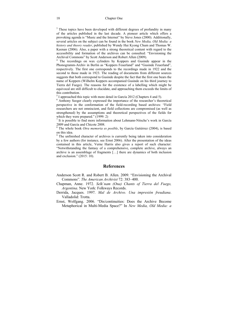<sup>3</sup> These topics have been developed with different degrees of profundity in many of the articles published in the last decade. A pioneer article which offers a provoking agenda is "Music and the Internet" by Steve Jones (2000). Additionally, several articles on the subject can be found in the book *New Media, Old Media: a history and theory reader*, published by Wendy Hui Kyong Chum and Thomas W. Keenan (2006). Also, a paper with a strong theoretical content with regard to the accessibility and formation of the archives can be consulted: "Envisioning the Archival Commons" by Scott Anderson and Robert Allen (2009).

Archival Commons" by Scott Anderson and Robert Allen (2009).<br><sup>4</sup> The recordings on wax cylinders by Koppers and Gusinde appear in the Phonogramm-Archiv in Berlin as "Koppers Feuerland" and "Gusinde Feuerland", respectively. The first one corresponds to the recordings made in 1922 and the second to those made in 1923. The reading of documents from different sources suggests that both correspond to Gusinde despite the fact that the first one bears the name of Koppers (Wilhelm Koppers accompanied Gusinde on his third journey to Tierra del Fuego). The reasons for the existence of a labelling which might be equivocal are still difficult to elucidate, and approaching them exceeds the limits of this contribution.

 $<sup>5</sup>$  I approached this topic with more detail in García 2012 (Chapters 4 and 5).</sup>

<sup>6</sup> Anthony Seeger clearly expressed the importance of the researcher's theoretical perspective in the conformation of the field-recording based archives: "Field researchers are not omniscient, and field collections are compromised (as well as strengthened) by the assumptions and theoretical perspectives of the fields for which they were prepared." (1999: 2)

 $<sup>7</sup>$  It is possible to find more information about Lehmann-Nitsche's work in García</sup> 2009 and García and Chicote 2008.

8 The whole book *Otra memoria es posible*, by García Gutiérrez (2004), is based on this idea.

<sup>9</sup> The unfinished character of archives is currently being taken into consideration by a few authors (for instance, see Ernst 2006). After the presentation of the ideas contained in this article, Verne Harris also gives a report of such character: "Notwithstanding the fantasy of a comprehensive, complete archive, always an archive is an assemblage of fragments […] there are dynamics of both inclusion and exclusion." (2015: 10).

#### **References**

Anderson Scott R. and Robert B. Allen. 2009. "Envisioning the Archival Commons". *The American Archivist* 72: 383–400.

- Chapman, Anne. 1972. *Selk´nam (Ona) Chants of Tierra del Fuego, Argentina*. New York: Folkways Records.
- Derrida, Jacques. 1997. *Mal de Archivo. Una impresión freudiana*. Valladolid: Trotta.
- Ernst, Wolfgang. 2006. "Dis/continuities: Does the Archive Become Metaphorical in Multi-Media Space?" In *New Media, Old Media: a*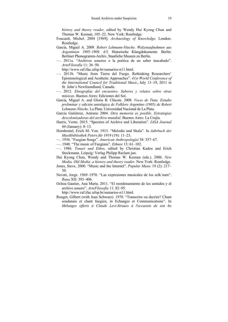*history and theory reader,* edited by Wendy Hui Kyong Chun and Thomas W. Keenan, 105–22. New York: Routledge.

- Foucault, Michel. 2004 [1969]. *Archaeology of Knowledge*. London: Routledge.
- García, Miguel A. 2009. *Robert Lehmann-Nitsche. Walzenaufnahmen aus Argentinien 1905–1909, 4/5,* Historische Klangdokumente. Berlin: Berliner Phonogramm-Archiv, Staatliche Museen zu Berlin.
- —. 2011a. "Archivos sonoros o la poética de un saber inacabado". *ArteFilosofía* 11: 36–50.

http://www.raf.ifac.ufop.br/sumarios-n11.html.

- —. 2011b. "Music from Tierra del Fuego. Rethinking Researchers' Epistemological and Aesthetic Approaches". *41st World Conference of the International Council for Traditional Music*, July 13–19, 2011 in St. John's Newfoundland, Canada.
- —. 2012. *Etnografías del encuentro. Saberes y relatos sobre otras músicas*. Buenos Aires: Ediciones del Sol.
- García, Miguel A. and Gloria B. Chicote. 2008. *Voces de Tinta. Estudio preliminar y edición antológica de Folklore Argentino (1905) de Robert Lehmann-Nitsche*. La Plata: Universidad Nacional de La Plata.
- García Gutiérrez, Antonio 2004. *Otra memoria es posible. Estrategias descolonizadoras del archivo mundial*. Buenos Aires: La Crujía.
- Harris, Verne. 2015. "Spectres of Archive and Liberation". *IASA Journal* 44 (January): 8–13.
- Hornbostel, Erich M. Von. 1913. "Melodie und Skala". In *Jahrbuch der Musikbibliothek Peters für* 1919 (19): 11–23.
- —. 1936. "Fuegian Songs". *American Anthropologist* 38: 357–67.
- —. 1948. "The music of Fuegians". *Ethnos* 13: 61–102.
- —. 1986. *Tonart und Ethos,* edited by Christian Kaden and Erich Stockmann. Leipzig: Verlag Philipp Reclam jun.
- Hui Kyong Chun, Wendy and Thomas W. Keenan (eds.). 2006. *New Media, Old Media: a history and theory reader.* New York: Routledge.
- Jones, Steve. 2000. "Music and the Internet". *Popular Music* 19 (2): 217– 30.
- Novati, Jorge. 1969–1970. "Las expresiones musicales de los selk´nam". *Runa* XII: 393–406.
- Ochoa Gautier, Ana María. 2011. "El reordenamiento de los sentidos y el archive sonoro". *ArteFilosofía* 11: 82–95.

http://www.raf.ifac.ufop.br/sumarios-n11.html.

Rouget, Gilbert (with Jean Schwarz). 1970. "Transcrire ou decrire? Chant soudanais et chant fuegien, in Echanges et Communications". In *Mélanges offerts á Claude Levi-Strauss á l'occasion de son 6o*